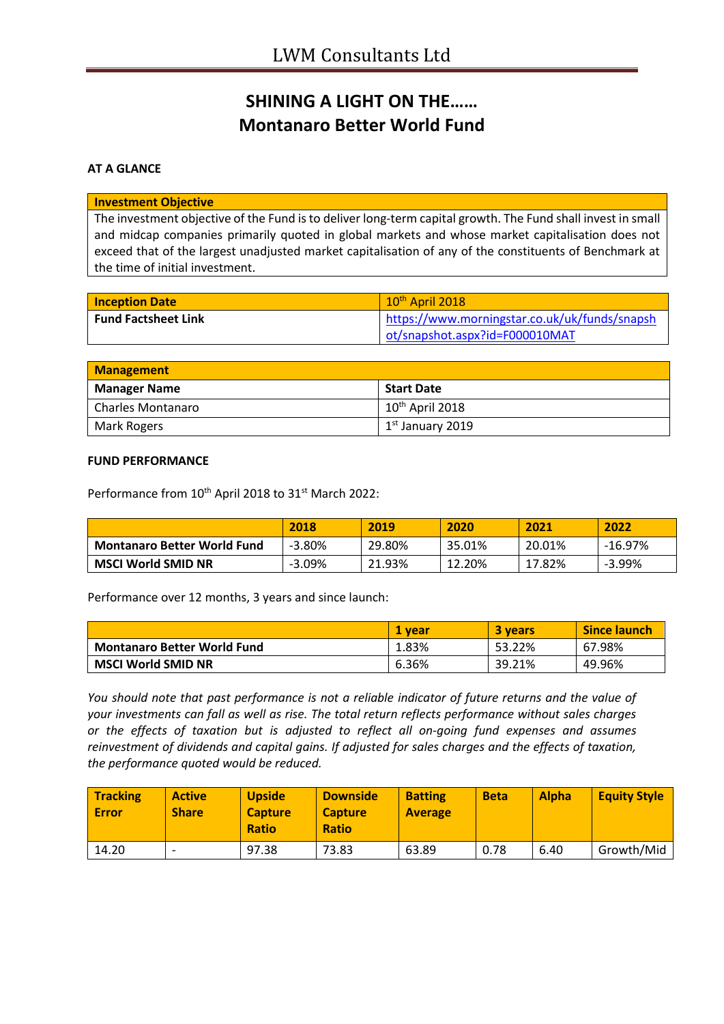# **SHINING A LIGHT ON THE…… Montanaro Better World Fund**

### **AT A GLANCE**

#### **Investment Objective**

The investment objective of the Fund is to deliver long-term capital growth. The Fund shall invest in small and midcap companies primarily quoted in global markets and whose market capitalisation does not exceed that of the largest unadjusted market capitalisation of any of the constituents of Benchmark at the time of initial investment.

| <b>Inception Date</b>      | $10th$ April 2018                             |
|----------------------------|-----------------------------------------------|
| <b>Fund Factsheet Link</b> | https://www.morningstar.co.uk/uk/funds/snapsh |
|                            | ot/snapshot.aspx?id=F000010MAT                |

| <b>Management</b>        |                             |  |
|--------------------------|-----------------------------|--|
| <b>Manager Name</b>      | Start Date                  |  |
| <b>Charles Montanaro</b> | 10 <sup>th</sup> April 2018 |  |
| Mark Rogers              | $1st$ January 2019          |  |

#### **FUND PERFORMANCE**

Performance from 10<sup>th</sup> April 2018 to 31<sup>st</sup> March 2022:

|                                    | 2018     | 2019   | 2020   | 2021   | 2022      |
|------------------------------------|----------|--------|--------|--------|-----------|
| <b>Montanaro Better World Fund</b> | $-3.80%$ | 29.80% | 35.01% | 20.01% | $-16.97%$ |
| <b>MSCI World SMID NR</b>          | $-3.09%$ | 21.93% | 12.20% | 17.82% | $-3.99%$  |

Performance over 12 months, 3 years and since launch:

|                                    | 1 vear | <b>3 years</b> | <b>Since launch</b> |
|------------------------------------|--------|----------------|---------------------|
| <b>Montanaro Better World Fund</b> | 1.83%  | 53.22%         | 67.98%              |
| <b>MSCI World SMID NR</b>          | 6.36%  | 39.21%         | 49.96%              |

*You should note that past performance is not a reliable indicator of future returns and the value of your investments can fall as well as rise. The total return reflects performance without sales charges or the effects of taxation but is adjusted to reflect all on-going fund expenses and assumes reinvestment of dividends and capital gains. If adjusted for sales charges and the effects of taxation, the performance quoted would be reduced.*

| <b>Tracking</b><br><b>Error</b> | <b>Active</b><br><b>Share</b> | <b>Upside</b><br><b>Capture</b><br><b>Ratio</b> | <b>Downside</b><br><b>Capture</b><br><b>Ratio</b> | <b>Batting</b><br><b>Average</b> | <b>Beta</b> | <b>Alpha</b> | <b>Equity Style</b> |
|---------------------------------|-------------------------------|-------------------------------------------------|---------------------------------------------------|----------------------------------|-------------|--------------|---------------------|
| 14.20                           | -                             | 97.38                                           | 73.83                                             | 63.89                            | 0.78        | 6.40         | Growth/Mid          |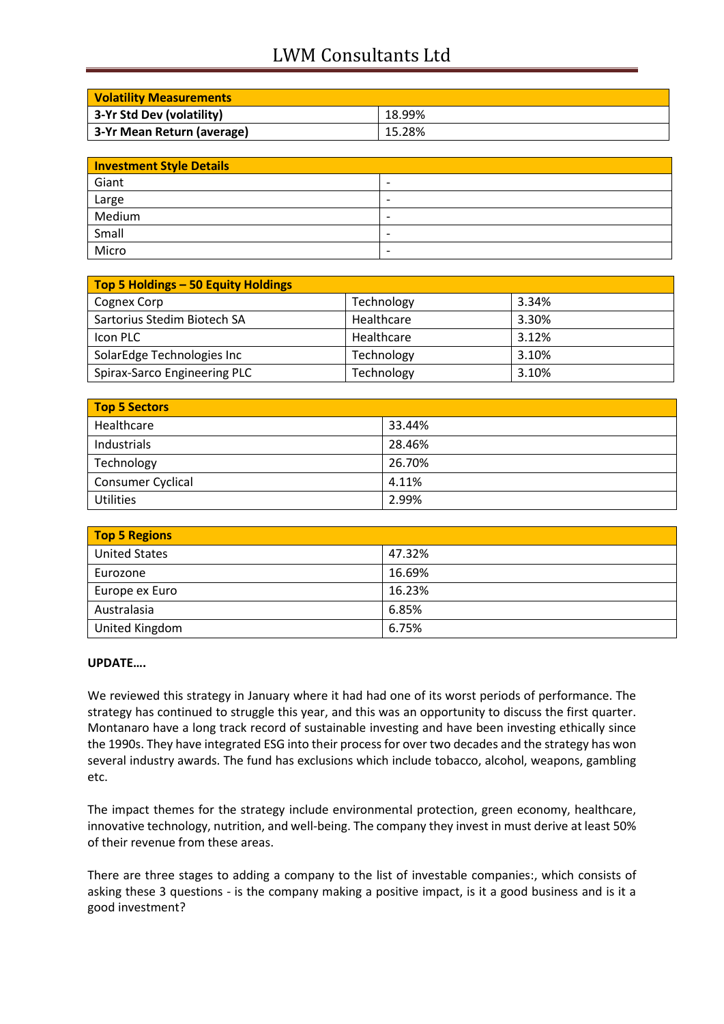# LWM Consultants Ltd

| <b>Volatility Measurements</b> |        |
|--------------------------------|--------|
| 3-Yr Std Dev (volatility)      | 18.99% |
| 3-Yr Mean Return (average)     | 15.28% |

| <b>Investment Style Details</b> |                          |  |
|---------------------------------|--------------------------|--|
| Giant                           | $\overline{\phantom{0}}$ |  |
| Large                           | $\overline{\phantom{a}}$ |  |
| Medium                          | $\overline{\phantom{0}}$ |  |
| Small                           | $\overline{\phantom{0}}$ |  |
| Micro                           | $\overline{\phantom{0}}$ |  |

| Top 5 Holdings - 50 Equity Holdings |            |       |
|-------------------------------------|------------|-------|
| Cognex Corp                         | Technology | 3.34% |
| Sartorius Stedim Biotech SA         | Healthcare | 3.30% |
| Icon PLC                            | Healthcare | 3.12% |
| SolarEdge Technologies Inc          | Technology | 3.10% |
| Spirax-Sarco Engineering PLC        | Technology | 3.10% |

| <b>Top 5 Sectors</b>     |        |
|--------------------------|--------|
| Healthcare               | 33.44% |
| Industrials              | 28.46% |
| Technology               | 26.70% |
| <b>Consumer Cyclical</b> | 4.11%  |
| <b>Utilities</b>         | 2.99%  |

| <b>Top 5 Regions</b> |        |  |
|----------------------|--------|--|
| <b>United States</b> | 47.32% |  |
| Eurozone             | 16.69% |  |
| Europe ex Euro       | 16.23% |  |
| Australasia          | 6.85%  |  |
| United Kingdom       | 6.75%  |  |

### **UPDATE….**

We reviewed this strategy in January where it had had one of its worst periods of performance. The strategy has continued to struggle this year, and this was an opportunity to discuss the first quarter. Montanaro have a long track record of sustainable investing and have been investing ethically since the 1990s. They have integrated ESG into their process for over two decades and the strategy has won several industry awards. The fund has exclusions which include tobacco, alcohol, weapons, gambling etc.

The impact themes for the strategy include environmental protection, green economy, healthcare, innovative technology, nutrition, and well-being. The company they invest in must derive at least 50% of their revenue from these areas.

There are three stages to adding a company to the list of investable companies:, which consists of asking these 3 questions - is the company making a positive impact, is it a good business and is it a good investment?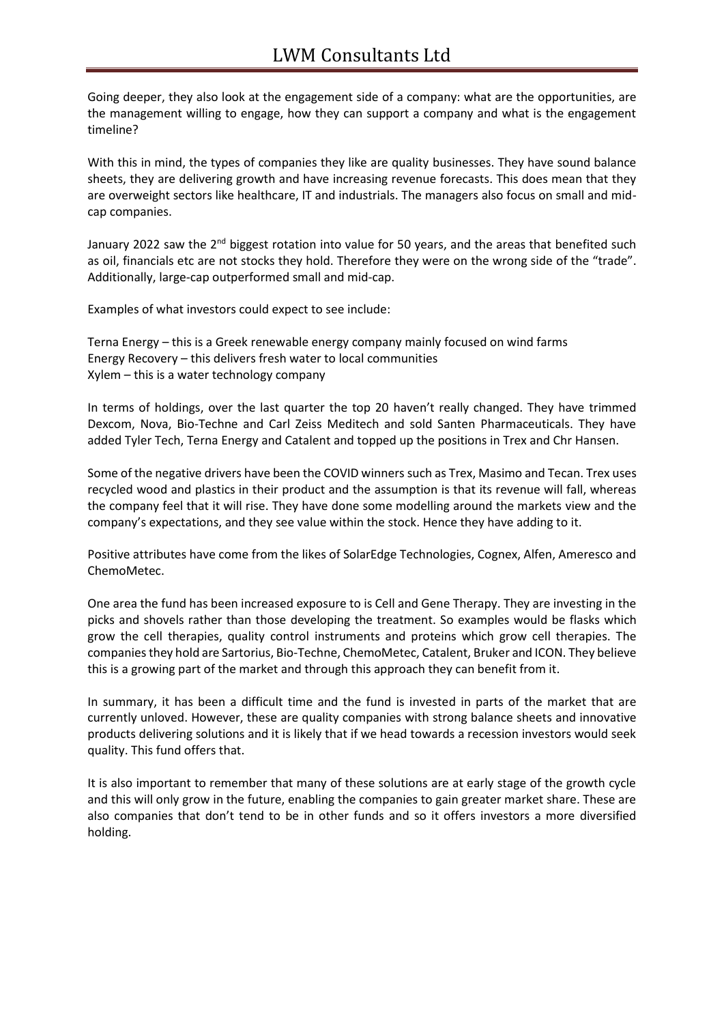Going deeper, they also look at the engagement side of a company: what are the opportunities, are the management willing to engage, how they can support a company and what is the engagement timeline?

With this in mind, the types of companies they like are quality businesses. They have sound balance sheets, they are delivering growth and have increasing revenue forecasts. This does mean that they are overweight sectors like healthcare, IT and industrials. The managers also focus on small and midcap companies.

January 2022 saw the 2<sup>nd</sup> biggest rotation into value for 50 years, and the areas that benefited such as oil, financials etc are not stocks they hold. Therefore they were on the wrong side of the "trade". Additionally, large-cap outperformed small and mid-cap.

Examples of what investors could expect to see include:

Terna Energy – this is a Greek renewable energy company mainly focused on wind farms Energy Recovery – this delivers fresh water to local communities Xylem – this is a water technology company

In terms of holdings, over the last quarter the top 20 haven't really changed. They have trimmed Dexcom, Nova, Bio-Techne and Carl Zeiss Meditech and sold Santen Pharmaceuticals. They have added Tyler Tech, Terna Energy and Catalent and topped up the positions in Trex and Chr Hansen.

Some of the negative drivers have been the COVID winners such as Trex, Masimo and Tecan. Trex uses recycled wood and plastics in their product and the assumption is that its revenue will fall, whereas the company feel that it will rise. They have done some modelling around the markets view and the company's expectations, and they see value within the stock. Hence they have adding to it.

Positive attributes have come from the likes of SolarEdge Technologies, Cognex, Alfen, Ameresco and ChemoMetec.

One area the fund has been increased exposure to is Cell and Gene Therapy. They are investing in the picks and shovels rather than those developing the treatment. So examples would be flasks which grow the cell therapies, quality control instruments and proteins which grow cell therapies. The companies they hold are Sartorius, Bio-Techne, ChemoMetec, Catalent, Bruker and ICON. They believe this is a growing part of the market and through this approach they can benefit from it.

In summary, it has been a difficult time and the fund is invested in parts of the market that are currently unloved. However, these are quality companies with strong balance sheets and innovative products delivering solutions and it is likely that if we head towards a recession investors would seek quality. This fund offers that.

It is also important to remember that many of these solutions are at early stage of the growth cycle and this will only grow in the future, enabling the companies to gain greater market share. These are also companies that don't tend to be in other funds and so it offers investors a more diversified holding.